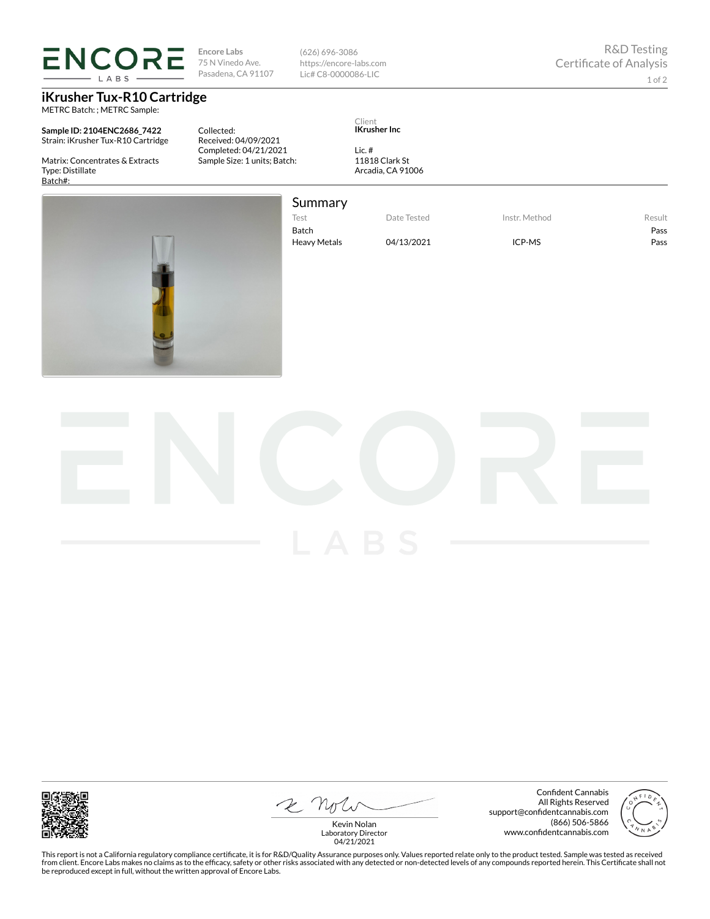**ENCORE** LABS

## **iKrusher Tux-R10 Cartridge**

METRC Batch: ; METRC Sample:

**Sample ID: 2104ENC2686\_7422** Strain: iKrusher Tux-R10 Cartridge

Matrix: Concentrates & Extracts Type: Distillate Batch#:

Collected: Received: 04/09/2021 Completed: 04/21/2021 Sample Size: 1 units; Batch:

**Encore Labs** 75 N Vinedo Ave. Pasadena, CA 91107

Client

**IKrusher Inc**

Lic. # 11818 Clark St Arcadia, CA 91006

(626) 696-3086 https://encore-labs.com Lic# C8-0000086-LIC

1 of 2



Summary Test Date Tested Instr. Method Result

Batch Pass

Heavy Metals 04/13/2021 ICP-MS Pass



2 Not

Confident Cannabis All Rights Reserved support@confidentcannabis.com (866) 506-5866 www.confidentcannabis.com



Kevin Nolan Laboratory Director 04/21/2021

This report is not a California regulatory compliance certificate, it is for R&D/Quality Assurance purposes only. Values reported relate only to the product tested. Sample was tested as received from client. Encore Labs makes no claims as to the efficacy, safety or other risks associated with any detected or non-detected levels of any compounds reported herein. This Certificate shall not<br>be reproduced except in fu